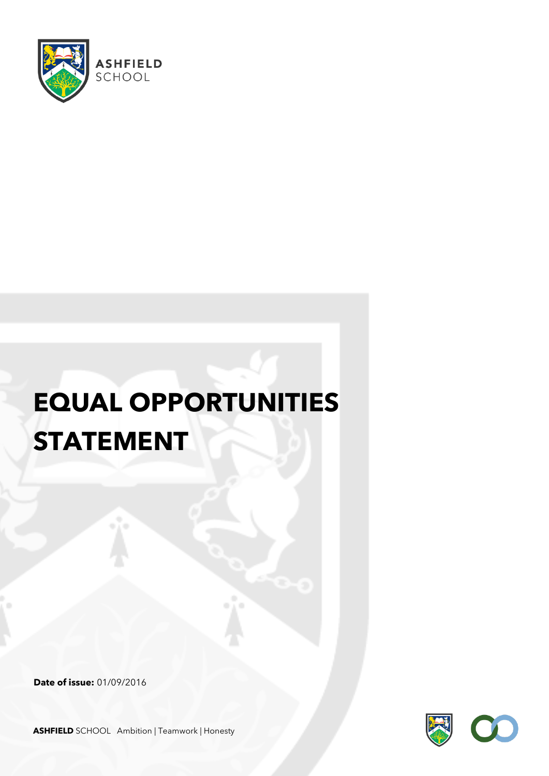

## **EQUAL OPPORTUNITIES STATEMENT**

**Date of issue:** 01/09/2016



**ASHFIELD** SCHOOL Ambition | Teamwork | Honesty